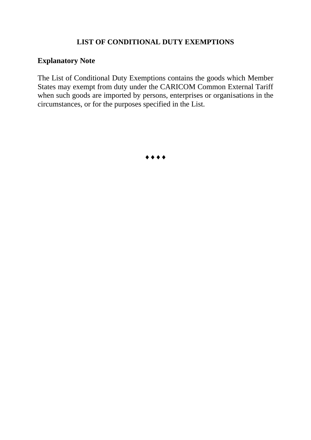# **LIST OF CONDITIONAL DUTY EXEMPTIONS**

# **Explanatory Note**

The List of Conditional Duty Exemptions contains the goods which Member States may exempt from duty under the CARICOM Common External Tariff when such goods are imported by persons, enterprises or organisations in the circumstances, or for the purposes specified in the List.

 $\bullet\bullet\bullet\bullet$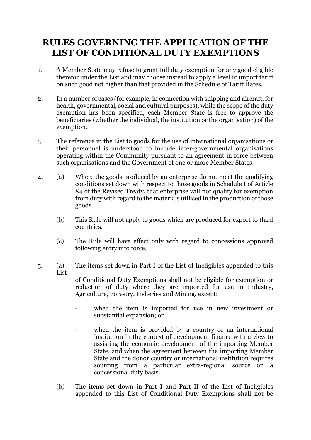# **RULES GOVERNING THE APPLICATION OF THE LIST OF CONDITIONAL DUTY EXEMPTIONS**

- 1. A Member State may refuse to grant full duty exemption for any good eligible therefor under the List and may choose instead to apply a level of import tariff on such good not higher than that provided in the Schedule of Tariff Rates.
- 2. In a number of cases (for example, in connection with shipping and aircraft, for health, governmental, social and cultural purposes), while the scope of the duty exemption has been specified, each Member State is free to approve the beneficiaries (whether the individual, the institution or the organisation) of the exemption.
- 3. The reference in the List to goods for the use of international organisations or their personnel is understood to include inter-governmental organisations operating within the Community pursuant to an agreement in force between such organisations and the Government of one or more Member States.
- 4. (a) Where the goods produced by an enterprise do not meet the qualifying conditions set down with respect to those goods in Schedule I of Article 84 of the Revised Treaty, that enterprise will not qualify for exemption from duty with regard to the materials utilised in the production of those goods.
	- (b) This Rule will not apply to goods which are produced for export to third countries.
	- (c) The Rule will have effect only with regard to concessions approved following entry into force.
- 5. (a) The items set down in Part I of the List of Ineligibles appended to this List

of Conditional Duty Exemptions shall not be eligible for exemption or reduction of duty where they are imported for use in Industry, Agriculture, Forestry, Fisheries and Mining, except:

- when the item is imported for use in new investment or substantial expansion; or
- when the item is provided by a country or an international institution in the context of development finance with a view to assisting the economic development of the importing Member State, and when the agreement between the importing Member State and the donor country or international institution requires sourcing from a particular extra-regional source on a concessional duty basis.
- (b) The items set down in Part I and Part II of the List of Ineligibles appended to this List of Conditional Duty Exemptions shall not be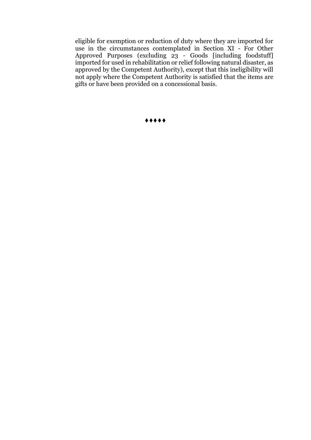eligible for exemption or reduction of duty where they are imported for use in the circumstances contemplated in Section XI - For Other Approved Purposes (excluding 23 - Goods [including foodstuff] imported for used in rehabilitation or relief following natural disaster, as approved by the Competent Authority), except that this ineligibility will not apply where the Competent Authority is satisfied that the items are gifts or have been provided on a concessional basis.

♦♦♦♦♦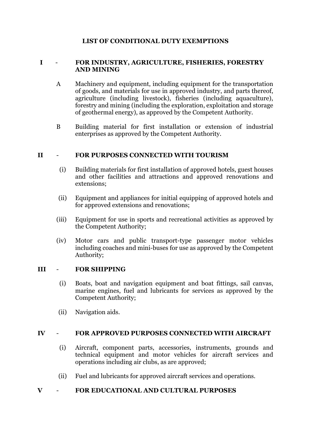# **LIST OF CONDITIONAL DUTY EXEMPTIONS**

#### **I** - **FOR INDUSTRY, AGRICULTURE, FISHERIES, FORESTRY AND MINING**

- A Machinery and equipment, including equipment for the transportation of goods, and materials for use in approved industry, and parts thereof, agriculture (including livestock), fisheries (including aquaculture), forestry and mining (including the exploration, exploitation and storage of geothermal energy), as approved by the Competent Authority.
- B Building material for first installation or extension of industrial enterprises as approved by the Competent Authority.

## **II** - **FOR PURPOSES CONNECTED WITH TOURISM**

- (i) Building materials for first installation of approved hotels, guest houses and other facilities and attractions and approved renovations and extensions;
- (ii) Equipment and appliances for initial equipping of approved hotels and for approved extensions and renovations;
- (iii) Equipment for use in sports and recreational activities as approved by the Competent Authority;
- (iv) Motor cars and public transport-type passenger motor vehicles including coaches and mini-buses for use as approved by the Competent Authority;

#### **III** - **FOR SHIPPING**

- (i) Boats, boat and navigation equipment and boat fittings, sail canvas, marine engines, fuel and lubricants for services as approved by the Competent Authority;
- (ii) Navigation aids.

#### **IV** - **FOR APPROVED PURPOSES CONNECTED WITH AIRCRAFT**

- (i) Aircraft, component parts, accessories, instruments, grounds and technical equipment and motor vehicles for aircraft services and operations including air clubs, as are approved;
- (ii) Fuel and lubricants for approved aircraft services and operations.

#### **V** - **FOR EDUCATIONAL AND CULTURAL PURPOSES**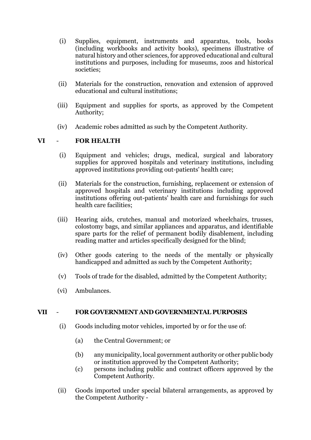- (i) Supplies, equipment, instruments and apparatus, tools, books (including workbooks and activity books), specimens illustrative of natural history and other sciences, for approved educational and cultural institutions and purposes, including for museums, zoos and historical societies;
- (ii) Materials for the construction, renovation and extension of approved educational and cultural institutions;
- (iii) Equipment and supplies for sports, as approved by the Competent Authority;
- (iv) Academic robes admitted as such by the Competent Authority.

## **VI** - **FOR HEALTH**

- (i) Equipment and vehicles; drugs, medical, surgical and laboratory supplies for approved hospitals and veterinary institutions, including approved institutions providing out-patients' health care;
- (ii) Materials for the construction, furnishing, replacement or extension of approved hospitals and veterinary institutions including approved institutions offering out-patients' health care and furnishings for such health care facilities;
- (iii) Hearing aids, crutches, manual and motorized wheelchairs, trusses, colostomy bags, and similar appliances and apparatus, and identifiable spare parts for the relief of permanent bodily disablement, including reading matter and articles specifically designed for the blind;
- (iv) Other goods catering to the needs of the mentally or physically handicapped and admitted as such by the Competent Authority;
- (v) Tools of trade for the disabled, admitted by the Competent Authority;
- (vi) Ambulances.

#### **VII** - **FOR GOVERNMENT AND GOVERNMENTAL PURPOSES**

- (i) Goods including motor vehicles, imported by or for the use of:
	- (a) the Central Government; or
	- (b) any municipality, local government authority or other public body or institution approved by the Competent Authority;
	- (c) persons including public and contract officers approved by the Competent Authority.
- (ii) Goods imported under special bilateral arrangements, as approved by the Competent Authority -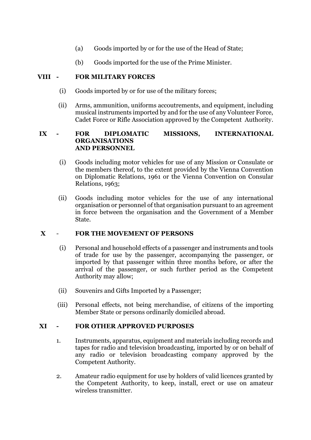- (a) Goods imported by or for the use of the Head of State;
- (b) Goods imported for the use of the Prime Minister.

## **VIII - FOR MILITARY FORCES**

- (i) Goods imported by or for use of the military forces;
- (ii) Arms, ammunition, uniforms accoutrements, and equipment, including musical instruments imported by and for the use of any Volunteer Force, Cadet Force or Rifle Association approved by the Competent Authority.

#### **IX - FOR DIPLOMATIC MISSIONS, INTERNATIONAL ORGANISATIONS AND PERSONNEL**

- (i) Goods including motor vehicles for use of any Mission or Consulate or the members thereof, to the extent provided by the Vienna Convention on Diplomatic Relations, 1961 or the Vienna Convention on Consular Relations, 1963;
- (ii) Goods including motor vehicles for the use of any international organisation or personnel of that organisation pursuant to an agreement in force between the organisation and the Government of a Member State.

# **X** - **FOR THE MOVEMENT OF PERSONS**

- (i) Personal and household effects of a passenger and instruments and tools of trade for use by the passenger, accompanying the passenger, or imported by that passenger within three months before, or after the arrival of the passenger, or such further period as the Competent Authority may allow;
- (ii) Souvenirs and Gifts Imported by a Passenger;
- (iii) Personal effects, not being merchandise, of citizens of the importing Member State or persons ordinarily domiciled abroad.

# **XI - FOR OTHER APPROVED PURPOSES**

- 1. Instruments, apparatus, equipment and materials including records and tapes for radio and television broadcasting, imported by or on behalf of any radio or television broadcasting company approved by the Competent Authority.
- 2. Amateur radio equipment for use by holders of valid licences granted by the Competent Authority, to keep, install, erect or use on amateur wireless transmitter.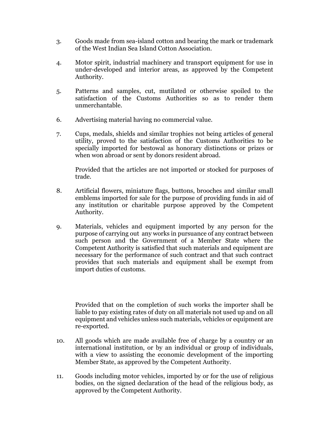- 3. Goods made from sea-island cotton and bearing the mark or trademark of the West Indian Sea Island Cotton Association.
- 4. Motor spirit, industrial machinery and transport equipment for use in under-developed and interior areas, as approved by the Competent Authority.
- 5. Patterns and samples, cut, mutilated or otherwise spoiled to the satisfaction of the Customs Authorities so as to render them unmerchantable.
- 6. Advertising material having no commercial value.
- 7. Cups, medals, shields and similar trophies not being articles of general utility, proved to the satisfaction of the Customs Authorities to be specially imported for bestowal as honorary distinctions or prizes or when won abroad or sent by donors resident abroad.

Provided that the articles are not imported or stocked for purposes of trade.

- 8. Artificial flowers, miniature flags, buttons, brooches and similar small emblems imported for sale for the purpose of providing funds in aid of any institution or charitable purpose approved by the Competent Authority.
- 9. Materials, vehicles and equipment imported by any person for the purpose of carrying out any works in pursuance of any contract between such person and the Government of a Member State where the Competent Authority is satisfied that such materials and equipment are necessary for the performance of such contract and that such contract provides that such materials and equipment shall be exempt from import duties of customs.

Provided that on the completion of such works the importer shall be liable to pay existing rates of duty on all materials not used up and on all equipment and vehicles unless such materials, vehicles or equipment are re-exported.

- 10. All goods which are made available free of charge by a country or an international institution, or by an individual or group of individuals, with a view to assisting the economic development of the importing Member State, as approved by the Competent Authority.
- 11. Goods including motor vehicles, imported by or for the use of religious bodies, on the signed declaration of the head of the religious body, as approved by the Competent Authority.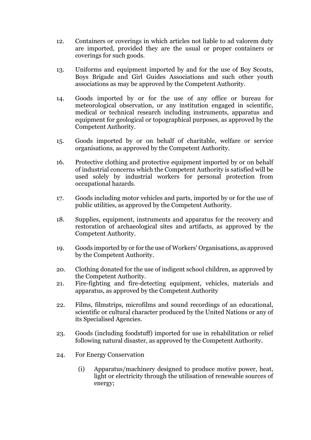- 12. Containers or coverings in which articles not liable to ad valorem duty are imported, provided they are the usual or proper containers or coverings for such goods.
- 13. Uniforms and equipment imported by and for the use of Boy Scouts, Boys Brigade and Girl Guides Associations and such other youth associations as may be approved by the Competent Authority.
- 14. Goods imported by or for the use of any office or bureau for meteorological observation, or any institution engaged in scientific, medical or technical research including instruments, apparatus and equipment for geological or topographical purposes, as approved by the Competent Authority.
- 15. Goods imported by or on behalf of charitable, welfare or service organisations, as approved by the Competent Authority.
- 16. Protective clothing and protective equipment imported by or on behalf of industrial concerns which the Competent Authority is satisfied will be used solely by industrial workers for personal protection from occupational hazards.
- 17. Goods including motor vehicles and parts, imported by or for the use of public utilities, as approved by the Competent Authority.
- 18. Supplies, equipment, instruments and apparatus for the recovery and restoration of archaeological sites and artifacts, as approved by the Competent Authority.
- 19. Goods imported by or for the use of Workers' Organisations, as approved by the Competent Authority.
- 20. Clothing donated for the use of indigent school children, as approved by the Competent Authority.
- 21. Fire-fighting and fire-detecting equipment, vehicles, materials and apparatus, as approved by the Competent Authority
- 22. Films, filmstrips, microfilms and sound recordings of an educational, scientific or cultural character produced by the United Nations or any of its Specialised Agencies.
- 23. Goods (including foodstuff) imported for use in rehabilitation or relief following natural disaster, as approved by the Competent Authority.
- 24. For Energy Conservation
	- (i) Apparatus/machinery designed to produce motive power, heat, light or electricity through the utilisation of renewable sources of energy;